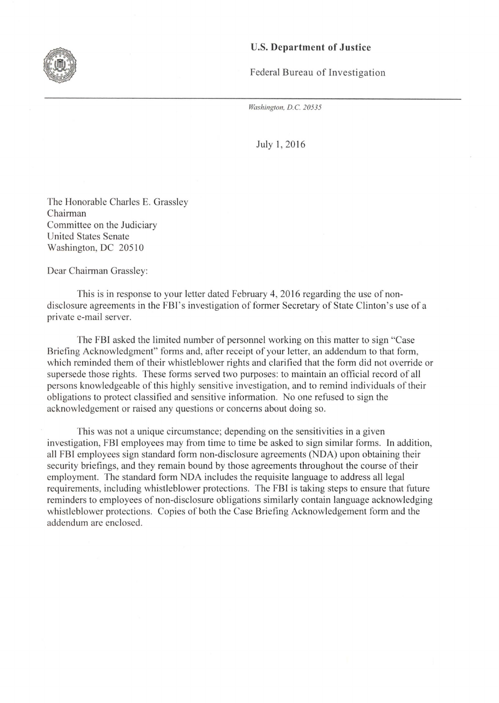## U.S. **Department of Justice**

Federal Bureau of Investigation

*Washington, D.C. 20535* 

July 1, 2016

The Honorable Charles E. Grassley Chairman Committee on the Judiciary United States Senate Washington, DC 20510

Dear Chairman Grassley:

This is in response to your letter dated February 4, 2016 regarding the use of nondisclosure agreements in the FBI's investigation of former Secretary of State Clinton's use of a private e-mail server.

The FBI asked the limited number of personnel working on this matter to sign "Case Briefing Acknowledgment" forms and, after receipt of your letter, an addendum to that form, which reminded them of their whistleblower rights and clarified that the form did not override or supersede those rights. These forms served two purposes: to maintain an official record of all persons knowledgeable of this highly sensitive investigation, and to remind individuals of their obligations to protect classified and sensitive information. No one refused to sign the acknowledgement or raised any questions or concerns about doing so.

This was not a unique circumstance; depending on the sensitivities in a given investigation, FBI employees may from time to time be asked to sign similar forms. In addition, all FBI employees sign standard form non-disclosure agreements (NDA) upon obtaining their security briefings, and they remain bound by those agreements throughout the course of their employment. The standard form NDA includes the requisite language to address all legal requirements, including whistleblower protections. The FBI is taking steps to ensure that future reminders to employees of non-disclosure obligations similarly contain language acknowledging whistleblower protections. Copies of both the Case Briefing Acknowledgement form and the addendum are enclosed.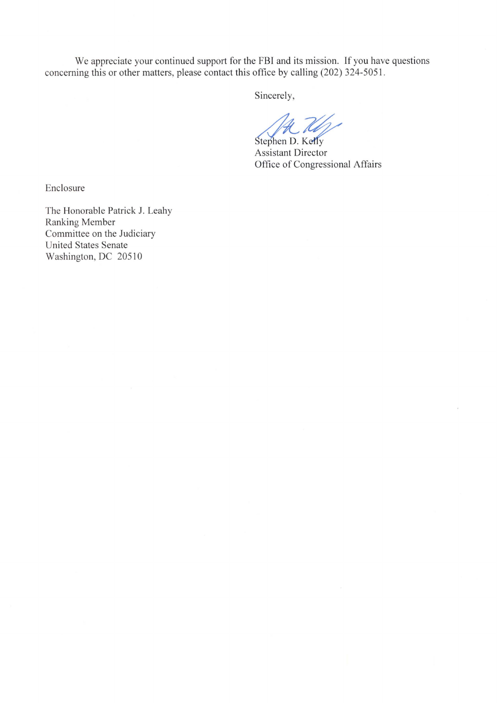We appreciate your continued support for the FBI and its mission. If you have questions concerning this or other matters, please contact this office by calling (202) 324-5051.

Sincerely,

Stephen D. Kelly

Assistant Director Office of Congressional Affairs

Enclosure

The Honorable Patrick J. Leahy Ranking Member Committee on the Judiciary United States Senate Washington, DC 20510